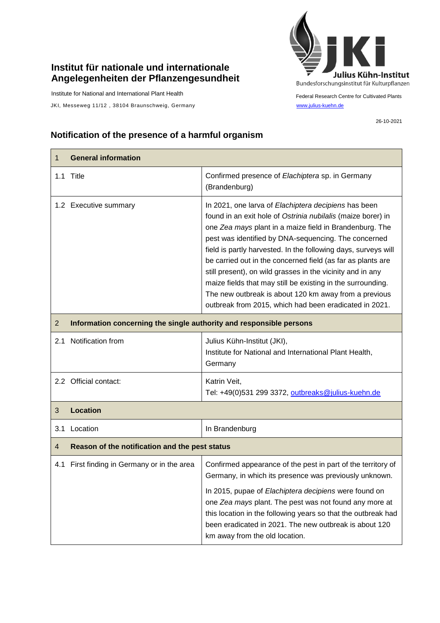## **Institut für nationale und internationale Angelegenheiten der Pflanzengesundheit**

Institute for National and International Plant Health

 $\mathsf{r}$ 

JKI, Messeweg 11/12, 38104 Braunschweig, Germany [www.julius-kuehn.de](http://www.julius-kuehn.de/)



Federal Research Centre for Cultivated Plants

26-10-2021

## **Notification of the presence of a harmful organism**

| 1              | <b>General information</b>                                          |                                                                                                                                                                                                                                                                                                                                                                                                                                                                                                                                                                                                                          |  |
|----------------|---------------------------------------------------------------------|--------------------------------------------------------------------------------------------------------------------------------------------------------------------------------------------------------------------------------------------------------------------------------------------------------------------------------------------------------------------------------------------------------------------------------------------------------------------------------------------------------------------------------------------------------------------------------------------------------------------------|--|
|                | 1.1 Title                                                           | Confirmed presence of Elachiptera sp. in Germany<br>(Brandenburg)                                                                                                                                                                                                                                                                                                                                                                                                                                                                                                                                                        |  |
|                | 1.2 Executive summary                                               | In 2021, one larva of Elachiptera decipiens has been<br>found in an exit hole of Ostrinia nubilalis (maize borer) in<br>one Zea mays plant in a maize field in Brandenburg. The<br>pest was identified by DNA-sequencing. The concerned<br>field is partly harvested. In the following days, surveys will<br>be carried out in the concerned field (as far as plants are<br>still present), on wild grasses in the vicinity and in any<br>maize fields that may still be existing in the surrounding.<br>The new outbreak is about 120 km away from a previous<br>outbreak from 2015, which had been eradicated in 2021. |  |
| $\overline{2}$ | Information concerning the single authority and responsible persons |                                                                                                                                                                                                                                                                                                                                                                                                                                                                                                                                                                                                                          |  |
| 2.1            | Notification from                                                   | Julius Kühn-Institut (JKI),<br>Institute for National and International Plant Health,<br>Germany                                                                                                                                                                                                                                                                                                                                                                                                                                                                                                                         |  |
|                | 2.2 Official contact:                                               | Katrin Veit,<br>Tel: +49(0)531 299 3372, outbreaks@julius-kuehn.de                                                                                                                                                                                                                                                                                                                                                                                                                                                                                                                                                       |  |
| 3              | <b>Location</b>                                                     |                                                                                                                                                                                                                                                                                                                                                                                                                                                                                                                                                                                                                          |  |
| 3.1            | Location                                                            | In Brandenburg                                                                                                                                                                                                                                                                                                                                                                                                                                                                                                                                                                                                           |  |
| $\overline{4}$ | Reason of the notification and the pest status                      |                                                                                                                                                                                                                                                                                                                                                                                                                                                                                                                                                                                                                          |  |
|                | 4.1 First finding in Germany or in the area                         | Confirmed appearance of the pest in part of the territory of<br>Germany, in which its presence was previously unknown.<br>In 2015, pupae of Elachiptera decipiens were found on<br>one Zea mays plant. The pest was not found any more at<br>this location in the following years so that the outbreak had<br>been eradicated in 2021. The new outbreak is about 120<br>km away from the old location.                                                                                                                                                                                                                   |  |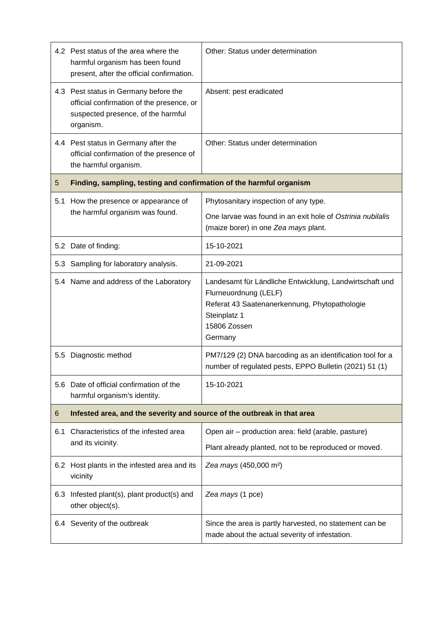|     | 4.2 Pest status of the area where the<br>harmful organism has been found<br>present, after the official confirmation.                 | Other: Status under determination                                                                                                                                            |  |
|-----|---------------------------------------------------------------------------------------------------------------------------------------|------------------------------------------------------------------------------------------------------------------------------------------------------------------------------|--|
|     | 4.3 Pest status in Germany before the<br>official confirmation of the presence, or<br>suspected presence, of the harmful<br>organism. | Absent: pest eradicated                                                                                                                                                      |  |
|     | 4.4 Pest status in Germany after the<br>official confirmation of the presence of<br>the harmful organism.                             | Other: Status under determination                                                                                                                                            |  |
| 5   | Finding, sampling, testing and confirmation of the harmful organism                                                                   |                                                                                                                                                                              |  |
| 5.1 | How the presence or appearance of                                                                                                     | Phytosanitary inspection of any type.                                                                                                                                        |  |
|     | the harmful organism was found.                                                                                                       | One larvae was found in an exit hole of Ostrinia nubilalis<br>(maize borer) in one Zea mays plant.                                                                           |  |
|     | 5.2 Date of finding:                                                                                                                  | 15-10-2021                                                                                                                                                                   |  |
|     | 5.3 Sampling for laboratory analysis.                                                                                                 | 21-09-2021                                                                                                                                                                   |  |
|     | 5.4 Name and address of the Laboratory                                                                                                | Landesamt für Ländliche Entwicklung, Landwirtschaft und<br>Flurneuordnung (LELF)<br>Referat 43 Saatenanerkennung, Phytopathologie<br>Steinplatz 1<br>15806 Zossen<br>Germany |  |
| 5.5 | Diagnostic method                                                                                                                     | PM7/129 (2) DNA barcoding as an identification tool for a<br>number of regulated pests, EPPO Bulletin (2021) 51 (1)                                                          |  |
|     | 5.6 Date of official confirmation of the<br>harmful organism's identity.                                                              | 15-10-2021                                                                                                                                                                   |  |
| 6   | Infested area, and the severity and source of the outbreak in that area                                                               |                                                                                                                                                                              |  |
| 6.1 | Characteristics of the infested area<br>and its vicinity.                                                                             | Open air – production area: field (arable, pasture)                                                                                                                          |  |
|     |                                                                                                                                       | Plant already planted, not to be reproduced or moved.                                                                                                                        |  |
|     | 6.2 Host plants in the infested area and its<br>vicinity                                                                              | Zea mays (450,000 m <sup>2</sup> )                                                                                                                                           |  |
| 6.3 | Infested plant(s), plant product(s) and<br>other object(s).                                                                           | Zea mays (1 pce)                                                                                                                                                             |  |
|     | 6.4 Severity of the outbreak                                                                                                          | Since the area is partly harvested, no statement can be<br>made about the actual severity of infestation.                                                                    |  |